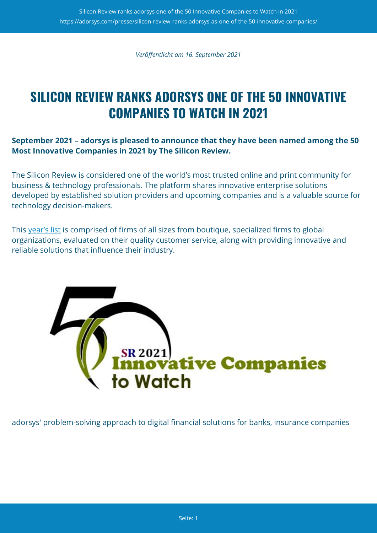*Veröffentlicht am 16. September 2021*

## **SILICON REVIEW RANKS ADORSYS ONE OF THE 50 INNOVATIVE COMPANIES TO WATCH IN 2021**

### **September 2021 – adorsys is pleased to announce that they have been named among the 50 Most Innovative Companies in 2021 by The Silicon Review.**

The Silicon Review is considered one of the world's most trusted online and print community for business & technology professionals. The platform shares innovative enterprise solutions developed by established solution providers and upcoming companies and is a valuable source for technology decision-makers.

This [yea](https://thesiliconreview.com/magazine/profile/30-fastest-growing-tech-companies-2021-listing/)[r's list](https://thesiliconreview.com/magazine/profile/50-innovative-companies-to-watch-2021-listing/) is comprised of firms of all sizes from boutique, specialized firms to global organizations, evaluated on their quality customer service, along with providing innovative and reliable solutions that influence their industry.



adorsys' problem-solving approach to digital financial solutions for banks, insurance companies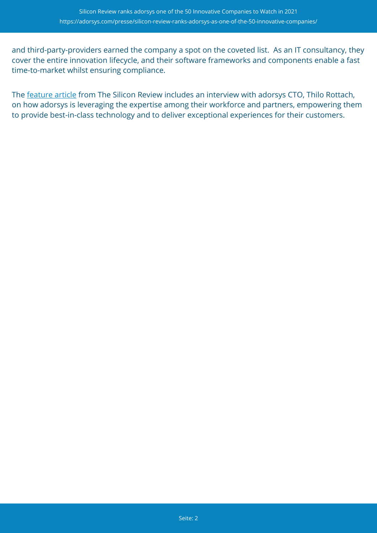and third-party-providers earned the company a spot on the coveted list. As an IT consultancy, they cover the entire innovation lifecycle, and their software frameworks and components enable a fast time-to-market whilst ensuring compliance.

The [feature article](https://thesiliconreview.com/magazine/profile/adorsys-built-data-intensive-cloud-architectures-for-financial-services/) from The Silicon Review includes an interview with adorsys CTO, Thilo Rottach, on how adorsys is leveraging the expertise among their workforce and partners, empowering them to provide best-in-class technology and to deliver exceptional experiences for their customers.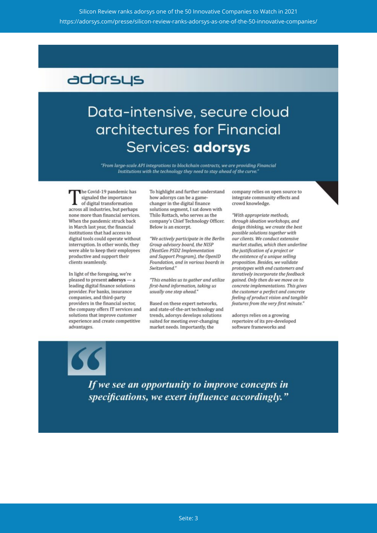### adorsys

# Data-intensive, secure cloud architectures for Financial Services: adorsys

"From large-scale API integrations to blockchain contracts, we are providing Financial Institutions with the technology they need to stay ahead of the curve.'

The Covid-19 pandemic has signaled the importance of digital transformation across all industries, but perhaps none more than financial services. When the pandemic struck back in March last year, the financial institutions that had access to digital tools could operate without interruption. In other words, they were able to keep their employees productive and support their clients seamlessly.

In light of the foregoing, we're pleased to present adorsys - a leading digital finance solutions provider. For banks, insurance companies, and third-party providers in the financial sector, the company offers IT services and solutions that improve customer experience and create competitive advantages.

To highlight and further understand how adorsys can be a gamechanger in the digital finance solutions segment, I sat down with Thilo Rottach, who serves as the company's Chief Technology Officer. Below is an excerpt.

"We actively participate in the Berlin Group advisory board, the NISP (NextGen PSD2 Implementation and Support Program), the OpenID Foundation, and in various boards in Switzerland."

"This enables us to gather and utilize first-hand information, taking us usually one step ahead."

Based on these expert networks, and state-of-the-art technology and trends, adorsys develops solutions suited for meeting ever-changing market needs. Importantly, the

company relies on open source to integrate community effects and crowd knowledge.

"With appropriate methods, through ideation workshops, and design thinking, we create the best possible solutions together with our clients. We conduct extensive market studies, which then underline the justification of a project or the existence of a unique selling proposition. Besides, we validate prototypes with end customers and iteratively incorporate the feedback gained. Only then do we move on to concrete implementations. This gives the customer a perfect and concrete feeling of product vision and tangible features from the very first minute."

adorsys relies on a growing repertoire of its pre-developed software frameworks and

If we see an opportunity to improve concepts in specifications, we exert influence accordingly."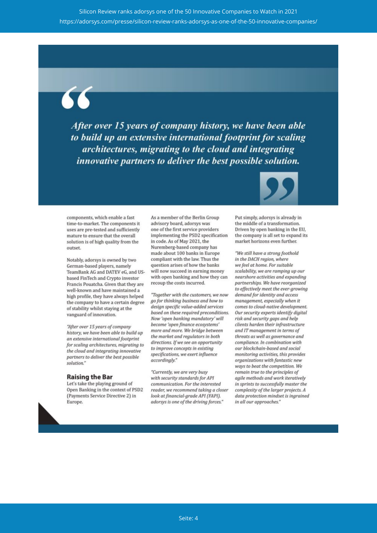After over 15 years of company history, we have been able to build up an extensive international footprint for scaling architectures, migrating to the cloud and integrating *innovative partners to deliver the best possible solution.* 



components, which enable a fast time-to-market. The components it uses are pre-tested and sufficiently mature to ensure that the overall solution is of high quality from the outset.

Notably, adorsys is owned by two German-based players, namely TeamBank AG and DATEV eG, and USbased FinTech and Crypto investor Francis Pouatcha. Given that they are well-known and have maintained a high profile, they have always helped the company to have a certain degree of stability whilst staying at the vanguard of innovation.

"After over 15 years of company history, we have been able to build up an extensive international footprint for scaling architectures, migrating to the cloud and integrating innovative partners to deliver the best possible solution."

#### **Raising the Bar**

Let's take the playing ground of Open Banking in the context of PSD2 (Payments Service Directive 2) in Europe.

As a member of the Berlin Group advisory board, adorsys was one of the first service providers implementing the PSD2 specification in code. As of May 2021, the Nuremberg-based company has made about 100 banks in Europe compliant with the law. Thus the question arises of how the banks will now succeed in earning money with open banking and how they can recoup the costs incurred.

"Together with the customers, we now go for thinking business and how to design specific value-added services based on these required preconditions. Now 'open banking mandatory' will become 'open finance ecosystems' more and more. We bridge between the market and regulators in both directions. If we see an opportunity to improve concepts in existing specifications, we exert influence accordingly."

"Currently, we are very busy with security standards for API communication. For the interested reader, we recommend taking a closer look at financial-grade API (FAPI). adorsys is one of the driving forces."

Put simply, adorsys is already in the middle of a transformation. Driven by open banking in the EU, the company is all set to expand its market horizons even further.

"We still have a strong foothold in the DACH region, where we feel at home. For suitable scalability, we are ramping up our nearshore activities and expanding partnerships. We have reorganized to effectively meet the ever-growing demand for identity and access management, especially when it comes to cloud-native development. Our security experts identify digital risk and security gaps and help clients harden their infrastructure and IT management in terms of threats as well as governance and compliance. In combination with our blockchain-based and social monitoring activities, this provides organizations with fantastic new ways to beat the competition. We remain true to the principles of agile methods and work iteratively in sprints to successfully master the complexity of the larger projects. A data protection mindset is ingrained in all our approaches."